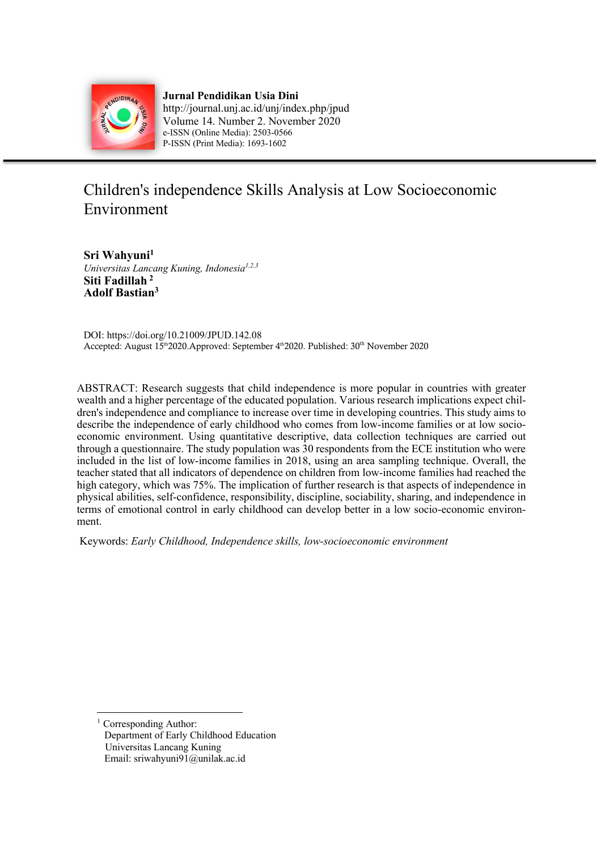

**Jurnal Pendidikan Usia Dini** http://journal.unj.ac.id/unj/index.php/jpud Volume 14. Number 2. November 2020 e-ISSN (Online Media): 2503-0566 P-ISSN (Print Media): 1693-1602

# Children's independence Skills Analysis at Low Socioeconomic Environment

**Sri Wahyuni1** *Universitas Lancang Kuning, Indonesia1,2,3* **Siti Fadillah <sup>2</sup> Adolf Bastian3**

DOI: https://doi.org/10.21009/JPUD.142.08 Accepted: August 15<sup>th</sup>2020.Approved: September 4<sup>th</sup>2020. Published: 30<sup>th</sup> November 2020

ABSTRACT: Research suggests that child independence is more popular in countries with greater wealth and a higher percentage of the educated population. Various research implications expect children's independence and compliance to increase over time in developing countries. This study aims to describe the independence of early childhood who comes from low-income families or at low socioeconomic environment. Using quantitative descriptive, data collection techniques are carried out through a questionnaire. The study population was 30 respondents from the ECE institution who were included in the list of low-income families in 2018, using an area sampling technique. Overall, the teacher stated that all indicators of dependence on children from low-income families had reached the high category, which was 75%. The implication of further research is that aspects of independence in physical abilities, self-confidence, responsibility, discipline, sociability, sharing, and independence in terms of emotional control in early childhood can develop better in a low socio-economic environment.

Keywords: *Early Childhood, Independence skills, low-socioeconomic environment* 

Corresponding Author: Department of Early Childhood Education Universitas Lancang Kuning Email: sriwahyuni91@unilak.ac.id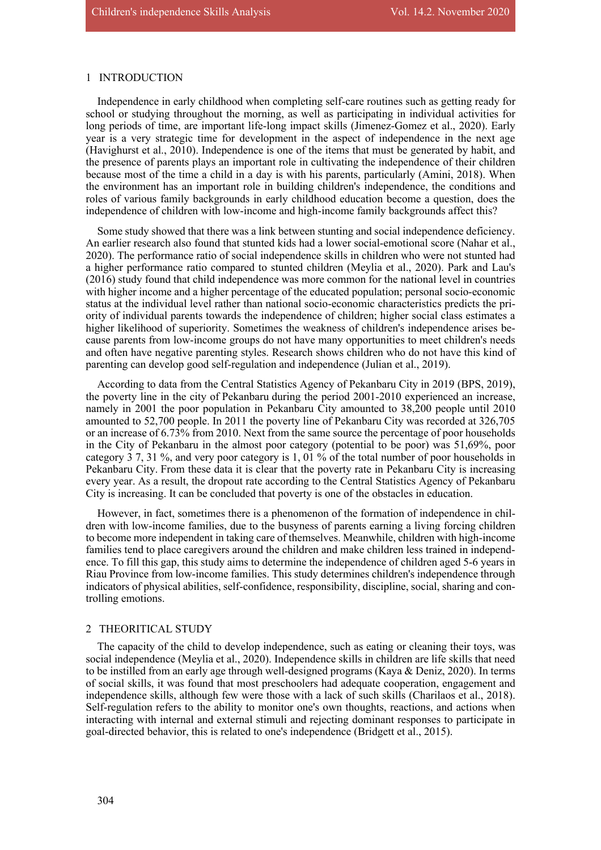# 1 INTRODUCTION

Independence in early childhood when completing self-care routines such as getting ready for school or studying throughout the morning, as well as participating in individual activities for long periods of time, are important life-long impact skills (Jimenez-Gomez et al., 2020). Early year is a very strategic time for development in the aspect of independence in the next age (Havighurst et al., 2010). Independence is one of the items that must be generated by habit, and the presence of parents plays an important role in cultivating the independence of their children because most of the time a child in a day is with his parents, particularly (Amini, 2018). When the environment has an important role in building children's independence, the conditions and roles of various family backgrounds in early childhood education become a question, does the independence of children with low-income and high-income family backgrounds affect this?

Some study showed that there was a link between stunting and social independence deficiency. An earlier research also found that stunted kids had a lower social-emotional score (Nahar et al., 2020). The performance ratio of social independence skills in children who were not stunted had a higher performance ratio compared to stunted children (Meylia et al., 2020). Park and Lau's (2016) study found that child independence was more common for the national level in countries with higher income and a higher percentage of the educated population; personal socio-economic status at the individual level rather than national socio-economic characteristics predicts the priority of individual parents towards the independence of children; higher social class estimates a higher likelihood of superiority. Sometimes the weakness of children's independence arises because parents from low-income groups do not have many opportunities to meet children's needs and often have negative parenting styles. Research shows children who do not have this kind of parenting can develop good self-regulation and independence (Julian et al., 2019).

According to data from the Central Statistics Agency of Pekanbaru City in 2019 (BPS, 2019), the poverty line in the city of Pekanbaru during the period 2001-2010 experienced an increase, namely in 2001 the poor population in Pekanbaru City amounted to 38,200 people until 2010 amounted to 52,700 people. In 2011 the poverty line of Pekanbaru City was recorded at 326,705 or an increase of 6.73% from 2010. Next from the same source the percentage of poor households in the City of Pekanbaru in the almost poor category (potential to be poor) was 51,69%, poor category 3 7, 31 %, and very poor category is 1, 01 % of the total number of poor households in Pekanbaru City. From these data it is clear that the poverty rate in Pekanbaru City is increasing every year. As a result, the dropout rate according to the Central Statistics Agency of Pekanbaru City is increasing. It can be concluded that poverty is one of the obstacles in education.

However, in fact, sometimes there is a phenomenon of the formation of independence in children with low-income families, due to the busyness of parents earning a living forcing children to become more independent in taking care of themselves. Meanwhile, children with high-income families tend to place caregivers around the children and make children less trained in independence. To fill this gap, this study aims to determine the independence of children aged 5-6 years in Riau Province from low-income families. This study determines children's independence through indicators of physical abilities, self-confidence, responsibility, discipline, social, sharing and controlling emotions.

#### 2 THEORITICAL STUDY

The capacity of the child to develop independence, such as eating or cleaning their toys, was social independence (Meylia et al., 2020). Independence skills in children are life skills that need to be instilled from an early age through well-designed programs (Kaya & Deniz, 2020). In terms of social skills, it was found that most preschoolers had adequate cooperation, engagement and independence skills, although few were those with a lack of such skills (Charilaos et al., 2018). Self-regulation refers to the ability to monitor one's own thoughts, reactions, and actions when interacting with internal and external stimuli and rejecting dominant responses to participate in goal-directed behavior, this is related to one's independence (Bridgett et al., 2015).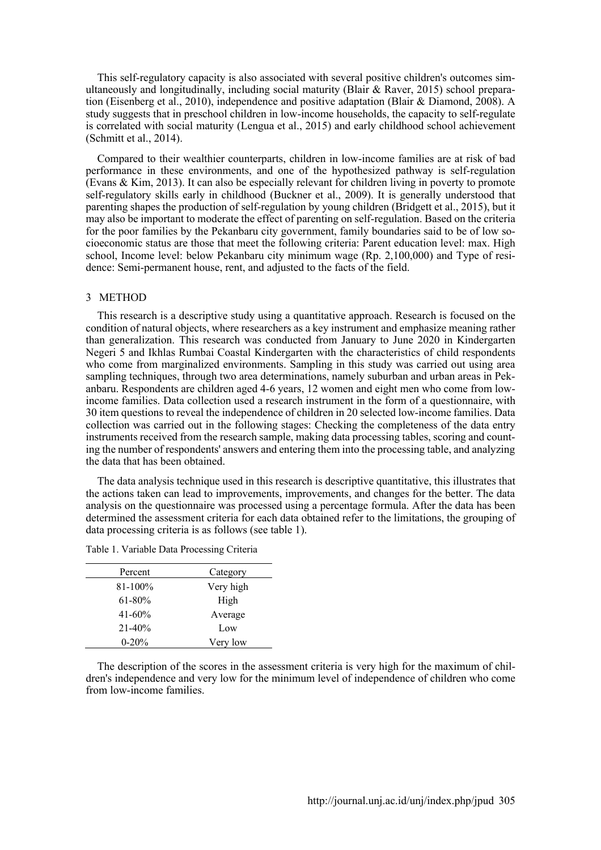This self-regulatory capacity is also associated with several positive children's outcomes simultaneously and longitudinally, including social maturity (Blair & Raver, 2015) school preparation (Eisenberg et al., 2010), independence and positive adaptation (Blair & Diamond, 2008). A study suggests that in preschool children in low-income households, the capacity to self-regulate is correlated with social maturity (Lengua et al., 2015) and early childhood school achievement (Schmitt et al., 2014).

Compared to their wealthier counterparts, children in low-income families are at risk of bad performance in these environments, and one of the hypothesized pathway is self-regulation (Evans & Kim, 2013). It can also be especially relevant for children living in poverty to promote self-regulatory skills early in childhood (Buckner et al., 2009). It is generally understood that parenting shapes the production of self-regulation by young children (Bridgett et al., 2015), but it may also be important to moderate the effect of parenting on self-regulation. Based on the criteria for the poor families by the Pekanbaru city government, family boundaries said to be of low socioeconomic status are those that meet the following criteria: Parent education level: max. High school, Income level: below Pekanbaru city minimum wage (Rp. 2,100,000) and Type of residence: Semi-permanent house, rent, and adjusted to the facts of the field.

#### 3 METHOD

This research is a descriptive study using a quantitative approach. Research is focused on the condition of natural objects, where researchers as a key instrument and emphasize meaning rather than generalization. This research was conducted from January to June 2020 in Kindergarten Negeri 5 and Ikhlas Rumbai Coastal Kindergarten with the characteristics of child respondents who come from marginalized environments. Sampling in this study was carried out using area sampling techniques, through two area determinations, namely suburban and urban areas in Pekanbaru. Respondents are children aged 4-6 years, 12 women and eight men who come from lowincome families. Data collection used a research instrument in the form of a questionnaire, with 30 item questions to reveal the independence of children in 20 selected low-income families. Data collection was carried out in the following stages: Checking the completeness of the data entry instruments received from the research sample, making data processing tables, scoring and counting the number of respondents' answers and entering them into the processing table, and analyzing the data that has been obtained.

The data analysis technique used in this research is descriptive quantitative, this illustrates that the actions taken can lead to improvements, improvements, and changes for the better. The data analysis on the questionnaire was processed using a percentage formula. After the data has been determined the assessment criteria for each data obtained refer to the limitations, the grouping of data processing criteria is as follows (see table 1).

| Percent     | Category  |
|-------------|-----------|
| 81-100%     | Very high |
| $61 - 80\%$ | High      |
| $41 - 60\%$ | Average   |
| $21 - 40\%$ | Low       |
| $0 - 20%$   | Very low  |

Table 1. Variable Data Processing Criteria

The description of the scores in the assessment criteria is very high for the maximum of children's independence and very low for the minimum level of independence of children who come from low-income families.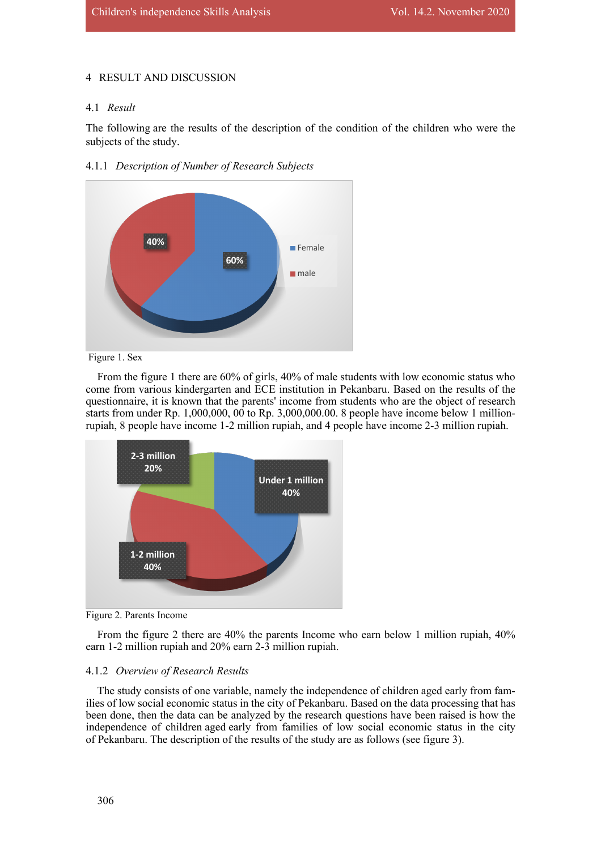# 4 RESULT AND DISCUSSION

# 4.1 *Result*

The following are the results of the description of the condition of the children who were the subjects of the study.





Figure 1. Sex

From the figure 1 there are 60% of girls, 40% of male students with low economic status who come from various kindergarten and ECE institution in Pekanbaru. Based on the results of the questionnaire, it is known that the parents' income from students who are the object of research starts from under Rp.  $1,000,000,00$  to Rp.  $3,000,000.00$ . 8 people have income below 1 millionrupiah, 8 people have income 1-2 million rupiah, and 4 people have income 2-3 million rupiah.



Figure 2. Parents Income

From the figure 2 there are 40% the parents Income who earn below 1 million rupiah, 40% earn 1-2 million rupiah and 20% earn 2-3 million rupiah.

# 4.1.2 *Overview of Research Results*

The study consists of one variable, namely the independence of children aged early from families of low social economic status in the city of Pekanbaru. Based on the data processing that has been done, then the data can be analyzed by the research questions have been raised is how the independence of children aged early from families of low social economic status in the city of Pekanbaru. The description of the results of the study are as follows (see figure 3).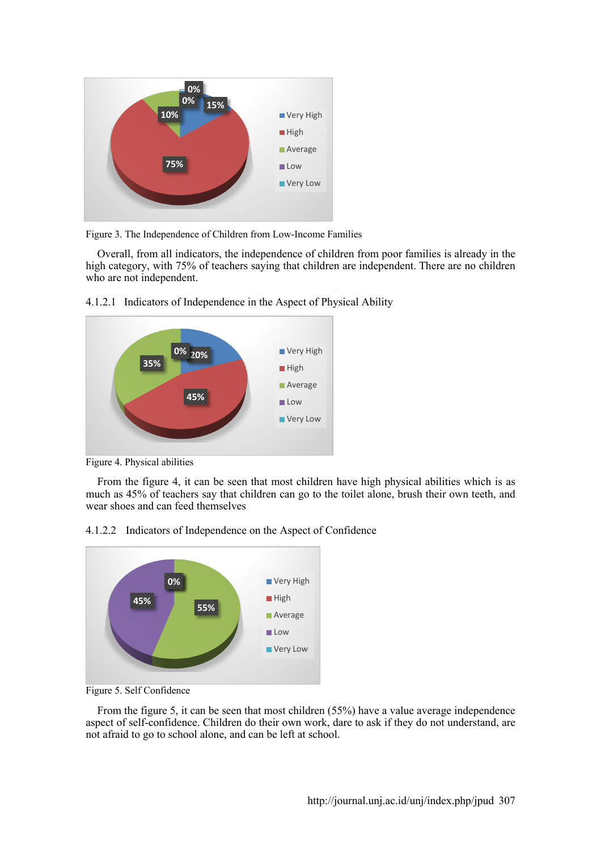

Figure 3. The Independence of Children from Low-Income Families

Overall, from all indicators, the independence of children from poor families is already in the high category, with 75% of teachers saying that children are independent. There are no children who are not independent.



4.1.2.1 Indicators of Independence in the Aspect of Physical Ability

Figure 4. Physical abilities

From the figure 4, it can be seen that most children have high physical abilities which is as much as 45% of teachers say that children can go to the toilet alone, brush their own teeth, and wear shoes and can feed themselves





Figure 5. Self Confidence

From the figure 5, it can be seen that most children (55%) have a value average independence aspect of self-confidence. Children do their own work, dare to ask if they do not understand, are not afraid to go to school alone, and can be left at school.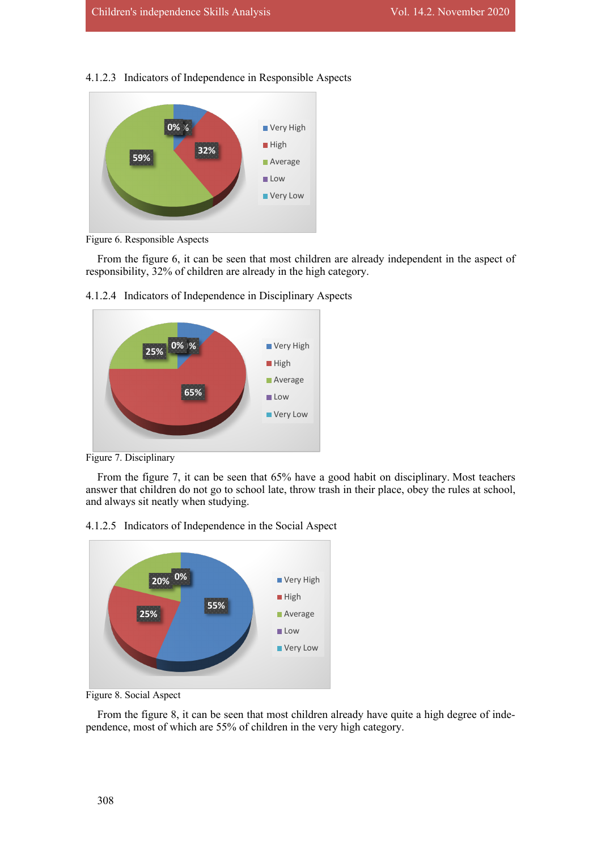#### 4.1.2.3 Indicators of Independence in Responsible Aspects



Figure 6. Responsible Aspects

From the figure 6, it can be seen that most children are already independent in the aspect of responsibility, 32% of children are already in the high category.



4.1.2.4 Indicators of Independence in Disciplinary Aspects

Figure 7. Disciplinary

From the figure 7, it can be seen that 65% have a good habit on disciplinary. Most teachers answer that children do not go to school late, throw trash in their place, obey the rules at school, and always sit neatly when studying.





Figure 8. Social Aspect

From the figure 8, it can be seen that most children already have quite a high degree of independence, most of which are 55% of children in the very high category.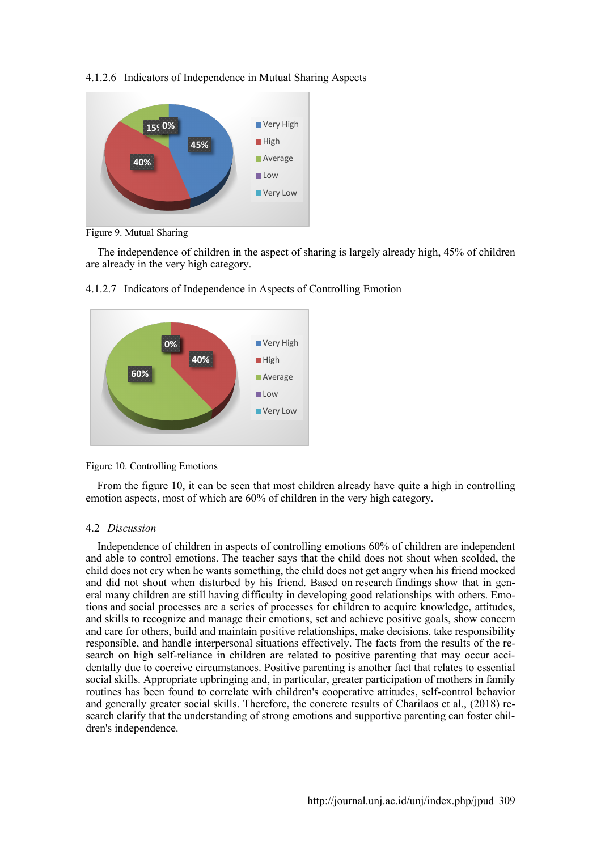

4.1.2.6 Indicators of Independence in Mutual Sharing Aspects

Figure 9. Mutual Sharing

The independence of children in the aspect of sharing is largely already high, 45% of children are already in the very high category.





From the figure 10, it can be seen that most children already have quite a high in controlling emotion aspects, most of which are 60% of children in the very high category.

# 4.2 *Discussion*

Independence of children in aspects of controlling emotions 60% of children are independent and able to control emotions. The teacher says that the child does not shout when scolded, the child does not cry when he wants something, the child does not get angry when his friend mocked and did not shout when disturbed by his friend. Based on research findings show that in general many children are still having difficulty in developing good relationships with others. Emotions and social processes are a series of processes for children to acquire knowledge, attitudes, and skills to recognize and manage their emotions, set and achieve positive goals, show concern and care for others, build and maintain positive relationships, make decisions, take responsibility responsible, and handle interpersonal situations effectively. The facts from the results of the research on high self-reliance in children are related to positive parenting that may occur accidentally due to coercive circumstances. Positive parenting is another fact that relates to essential social skills. Appropriate upbringing and, in particular, greater participation of mothers in family routines has been found to correlate with children's cooperative attitudes, self-control behavior and generally greater social skills. Therefore, the concrete results of Charilaos et al., (2018) research clarify that the understanding of strong emotions and supportive parenting can foster children's independence.

Figure 10. Controlling Emotions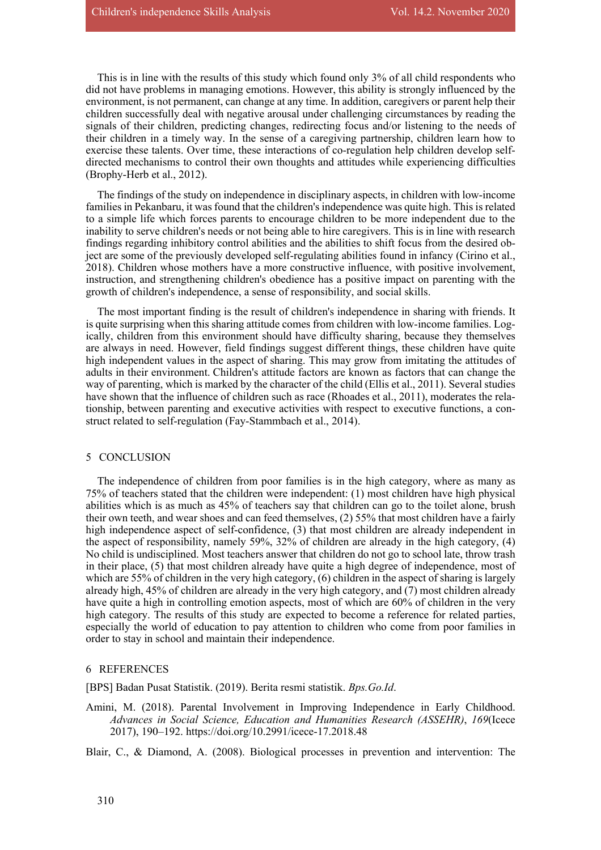This is in line with the results of this study which found only 3% of all child respondents who did not have problems in managing emotions. However, this ability is strongly influenced by the environment, is not permanent, can change at any time. In addition, caregivers or parent help their children successfully deal with negative arousal under challenging circumstances by reading the signals of their children, predicting changes, redirecting focus and/or listening to the needs of their children in a timely way. In the sense of a caregiving partnership, children learn how to exercise these talents. Over time, these interactions of co-regulation help children develop selfdirected mechanisms to control their own thoughts and attitudes while experiencing difficulties (Brophy-Herb et al., 2012).

The findings of the study on independence in disciplinary aspects, in children with low-income families in Pekanbaru, it was found that the children's independence was quite high. This is related to a simple life which forces parents to encourage children to be more independent due to the inability to serve children's needs or not being able to hire caregivers. This is in line with research findings regarding inhibitory control abilities and the abilities to shift focus from the desired object are some of the previously developed self-regulating abilities found in infancy (Cirino et al., 2018). Children whose mothers have a more constructive influence, with positive involvement, instruction, and strengthening children's obedience has a positive impact on parenting with the growth of children's independence, a sense of responsibility, and social skills.

The most important finding is the result of children's independence in sharing with friends. It is quite surprising when this sharing attitude comes from children with low-income families. Logically, children from this environment should have difficulty sharing, because they themselves are always in need. However, field findings suggest different things, these children have quite high independent values in the aspect of sharing. This may grow from imitating the attitudes of adults in their environment. Children's attitude factors are known as factors that can change the way of parenting, which is marked by the character of the child (Ellis et al., 2011). Several studies have shown that the influence of children such as race (Rhoades et al., 2011), moderates the relationship, between parenting and executive activities with respect to executive functions, a construct related to self-regulation (Fay-Stammbach et al., 2014).

#### 5 CONCLUSION

The independence of children from poor families is in the high category, where as many as 75% of teachers stated that the children were independent: (1) most children have high physical abilities which is as much as 45% of teachers say that children can go to the toilet alone, brush their own teeth, and wear shoes and can feed themselves, (2) 55% that most children have a fairly high independence aspect of self-confidence, (3) that most children are already independent in the aspect of responsibility, namely 59%, 32% of children are already in the high category, (4) No child is undisciplined. Most teachers answer that children do not go to school late, throw trash in their place, (5) that most children already have quite a high degree of independence, most of which are 55% of children in the very high category, (6) children in the aspect of sharing is largely already high, 45% of children are already in the very high category, and (7) most children already have quite a high in controlling emotion aspects, most of which are 60% of children in the very high category. The results of this study are expected to become a reference for related parties, especially the world of education to pay attention to children who come from poor families in order to stay in school and maintain their independence.

#### 6 REFERENCES

[BPS] Badan Pusat Statistik. (2019). Berita resmi statistik. *Bps.Go.Id*.

Amini, M. (2018). Parental Involvement in Improving Independence in Early Childhood. *Advances in Social Science, Education and Humanities Research (ASSEHR)*, *169*(Icece 2017), 190–192. https://doi.org/10.2991/icece-17.2018.48

Blair, C., & Diamond, A. (2008). Biological processes in prevention and intervention: The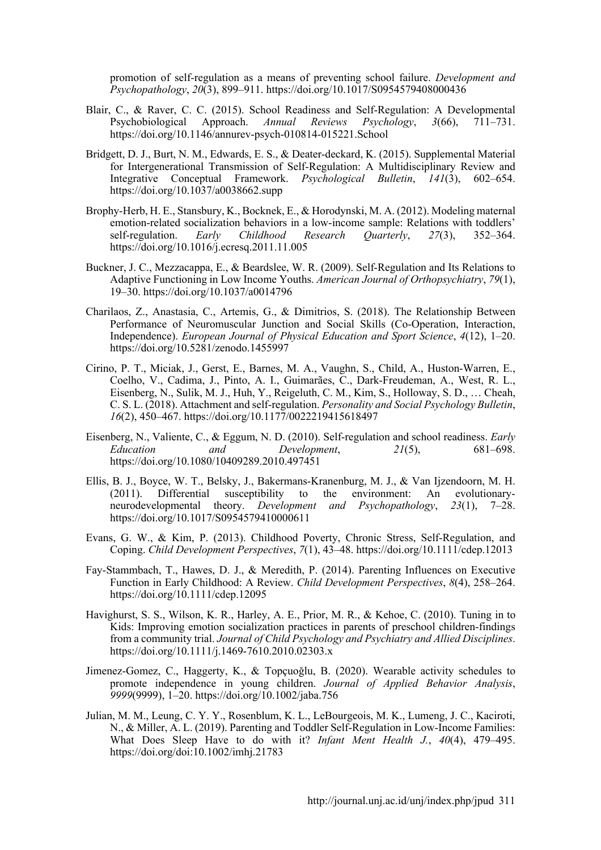promotion of self-regulation as a means of preventing school failure. *Development and Psychopathology*, *20*(3), 899–911. https://doi.org/10.1017/S0954579408000436

- Blair, C., & Raver, C. C. (2015). School Readiness and Self-Regulation: A Developmental Psychobiological Approach. *Annual Reviews Psychology*, *3*(66), 711–731. https://doi.org/10.1146/annurev-psych-010814-015221.School
- Bridgett, D. J., Burt, N. M., Edwards, E. S., & Deater-deckard, K. (2015). Supplemental Material for Intergenerational Transmission of Self-Regulation: A Multidisciplinary Review and Integrative Conceptual Framework. *Psychological Bulletin*, *141*(3), 602–654. https://doi.org/10.1037/a0038662.supp
- Brophy-Herb, H. E., Stansbury, K., Bocknek, E., & Horodynski, M. A. (2012). Modeling maternal emotion-related socialization behaviors in a low-income sample: Relations with toddlers' self-regulation. *Early Childhood Research Quarterly*, *27*(3), 352–364. https://doi.org/10.1016/j.ecresq.2011.11.005
- Buckner, J. C., Mezzacappa, E., & Beardslee, W. R. (2009). Self-Regulation and Its Relations to Adaptive Functioning in Low Income Youths. *American Journal of Orthopsychiatry*, *79*(1), 19–30. https://doi.org/10.1037/a0014796
- Charilaos, Z., Anastasia, C., Artemis, G., & Dimitrios, S. (2018). The Relationship Between Performance of Neuromuscular Junction and Social Skills (Co-Operation, Interaction, Independence). *European Journal of Physical Education and Sport Science*, *4*(12), 1–20. https://doi.org/10.5281/zenodo.1455997
- Cirino, P. T., Miciak, J., Gerst, E., Barnes, M. A., Vaughn, S., Child, A., Huston-Warren, E., Coelho, V., Cadima, J., Pinto, A. I., Guimarães, C., Dark-Freudeman, A., West, R. L., Eisenberg, N., Sulik, M. J., Huh, Y., Reigeluth, C. M., Kim, S., Holloway, S. D., … Cheah, C. S. L. (2018). Attachment and self-regulation. *Personality and Social Psychology Bulletin*, *16*(2), 450–467. https://doi.org/10.1177/0022219415618497
- Eisenberg, N., Valiente, C., & Eggum, N. D. (2010). Self-regulation and school readiness. *Early Education and Development*, *21*(5), 681–698. https://doi.org/10.1080/10409289.2010.497451
- Ellis, B. J., Boyce, W. T., Belsky, J., Bakermans-Kranenburg, M. J., & Van Ijzendoorn, M. H. (2011). Differential susceptibility to the environment: An evolutionaryneurodevelopmental theory. *Development and Psychopathology*, *23*(1), 7–28. https://doi.org/10.1017/S0954579410000611
- Evans, G. W., & Kim, P. (2013). Childhood Poverty, Chronic Stress, Self-Regulation, and Coping. *Child Development Perspectives*, *7*(1), 43–48. https://doi.org/10.1111/cdep.12013
- Fay-Stammbach, T., Hawes, D. J., & Meredith, P. (2014). Parenting Influences on Executive Function in Early Childhood: A Review. *Child Development Perspectives*, *8*(4), 258–264. https://doi.org/10.1111/cdep.12095
- Havighurst, S. S., Wilson, K. R., Harley, A. E., Prior, M. R., & Kehoe, C. (2010). Tuning in to Kids: Improving emotion socialization practices in parents of preschool children-findings from a community trial. *Journal of Child Psychology and Psychiatry and Allied Disciplines*. https://doi.org/10.1111/j.1469-7610.2010.02303.x
- Jimenez-Gomez, C., Haggerty, K., & Topçuoǧlu, B. (2020). Wearable activity schedules to promote independence in young children. *Journal of Applied Behavior Analysis*, *9999*(9999), 1–20. https://doi.org/10.1002/jaba.756
- Julian, M. M., Leung, C. Y. Y., Rosenblum, K. L., LeBourgeois, M. K., Lumeng, J. C., Kaciroti, N., & Miller, A. L. (2019). Parenting and Toddler Self-Regulation in Low-Income Families: What Does Sleep Have to do with it? *Infant Ment Health J.*, *40*(4), 479–495. https://doi.org/doi:10.1002/imhj.21783